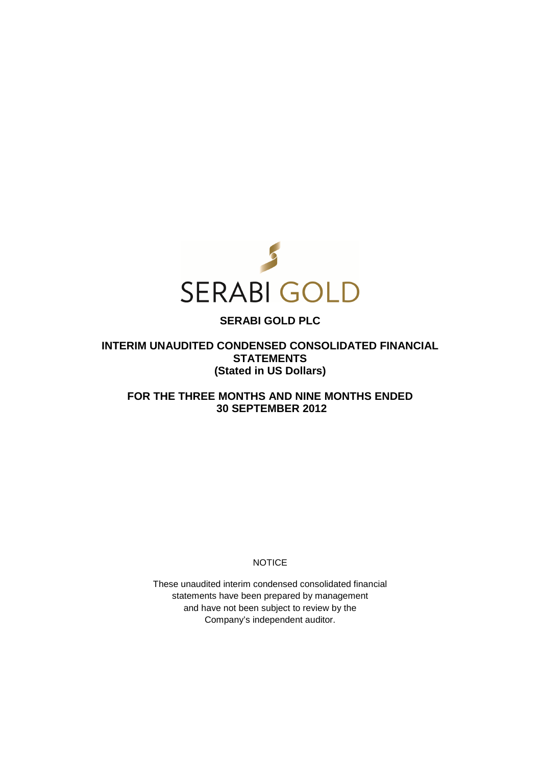

# **SERABI GOLD PLC**

**INTERIM UNAUDITED CONDENSED CONSOLIDATED FINANCIAL STATEMENTS (Stated in US Dollars)** 

**FOR THE THREE MONTHS AND NINE MONTHS ENDED 30 SEPTEMBER 2012** 

**NOTICE** 

These unaudited interim condensed consolidated financial statements have been prepared by management and have not been subject to review by the Company's independent auditor.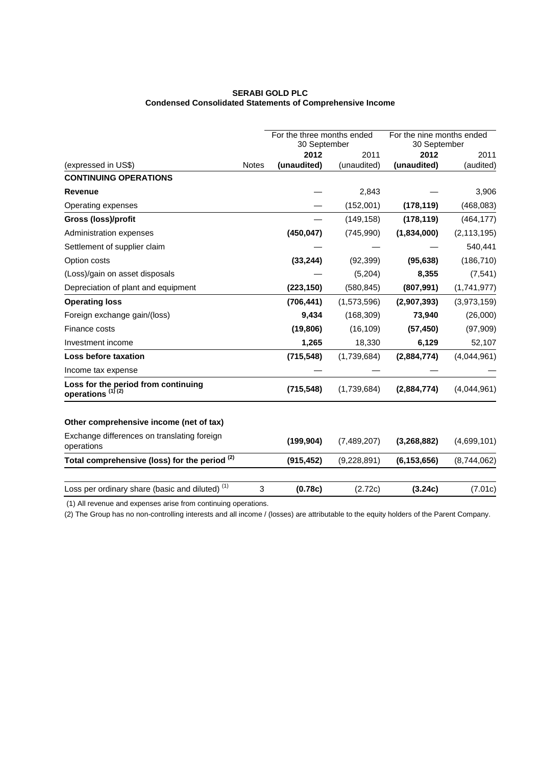## **SERABI GOLD PLC Condensed Consolidated Statements of Comprehensive Income**

|                                                                     |              | For the three months ended<br>30 September |             | For the nine months ended<br>30 September |               |
|---------------------------------------------------------------------|--------------|--------------------------------------------|-------------|-------------------------------------------|---------------|
|                                                                     |              | 2012                                       | 2011        | 2012                                      | 2011          |
| (expressed in US\$)                                                 | <b>Notes</b> | (unaudited)                                | (unaudited) | (unaudited)                               | (audited)     |
| <b>CONTINUING OPERATIONS</b>                                        |              |                                            |             |                                           |               |
| <b>Revenue</b>                                                      |              |                                            | 2,843       |                                           | 3,906         |
| Operating expenses                                                  |              |                                            | (152,001)   | (178, 119)                                | (468,083)     |
| Gross (loss)/profit                                                 |              |                                            | (149, 158)  | (178, 119)                                | (464, 177)    |
| Administration expenses                                             |              | (450, 047)                                 | (745, 990)  | (1,834,000)                               | (2, 113, 195) |
| Settlement of supplier claim                                        |              |                                            |             |                                           | 540,441       |
| Option costs                                                        |              | (33, 244)                                  | (92, 399)   | (95, 638)                                 | (186, 710)    |
| (Loss)/gain on asset disposals                                      |              |                                            | (5,204)     | 8,355                                     | (7, 541)      |
| Depreciation of plant and equipment                                 |              | (223, 150)                                 | (580, 845)  | (807, 991)                                | (1,741,977)   |
| <b>Operating loss</b>                                               |              | (706, 441)                                 | (1,573,596) | (2,907,393)                               | (3,973,159)   |
| Foreign exchange gain/(loss)                                        |              | 9,434                                      | (168, 309)  | 73,940                                    | (26,000)      |
| Finance costs                                                       |              | (19, 806)                                  | (16, 109)   | (57, 450)                                 | (97, 909)     |
| Investment income                                                   |              | 1,265                                      | 18,330      | 6,129                                     | 52,107        |
| Loss before taxation                                                |              | (715, 548)                                 | (1,739,684) | (2,884,774)                               | (4,044,961)   |
| Income tax expense                                                  |              |                                            |             |                                           |               |
| Loss for the period from continuing<br>operations <sup>(1)(2)</sup> |              | (715, 548)                                 | (1,739,684) | (2,884,774)                               | (4,044,961)   |
| Other comprehensive income (net of tax)                             |              |                                            |             |                                           |               |
| Exchange differences on translating foreign<br>operations           |              | (199, 904)                                 | (7,489,207) | (3, 268, 882)                             | (4,699,101)   |
| Total comprehensive (loss) for the period <sup>(2)</sup>            |              | (915, 452)                                 | (9,228,891) | (6, 153, 656)                             | (8,744,062)   |
| Loss per ordinary share (basic and diluted) <sup>(1)</sup>          | 3            | (0.78c)                                    | (2.72c)     | (3.24c)                                   | (7.01c)       |

(1) All revenue and expenses arise from continuing operations.

(2) The Group has no non-controlling interests and all income / (losses) are attributable to the equity holders of the Parent Company.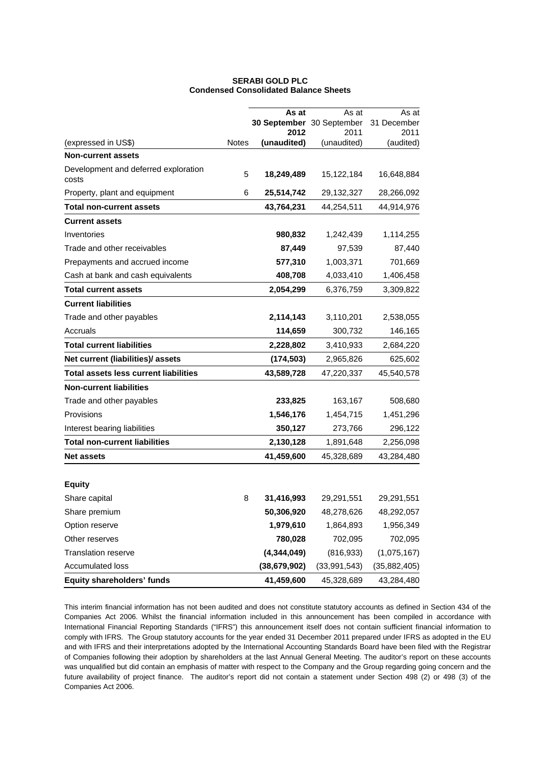|                                               |              | As at                     | As at               | As at             |
|-----------------------------------------------|--------------|---------------------------|---------------------|-------------------|
|                                               |              | 30 September 30 September |                     | 31 December       |
| (expressed in US\$)                           | <b>Notes</b> | 2012<br>(unaudited)       | 2011<br>(unaudited) | 2011<br>(audited) |
| <b>Non-current assets</b>                     |              |                           |                     |                   |
|                                               |              |                           |                     |                   |
| Development and deferred exploration<br>costs | 5            | 18,249,489                | 15,122,184          | 16,648,884        |
| Property, plant and equipment                 | 6            | 25,514,742                | 29,132,327          | 28,266,092        |
| <b>Total non-current assets</b>               |              | 43,764,231                | 44,254,511          | 44,914,976        |
| <b>Current assets</b>                         |              |                           |                     |                   |
| Inventories                                   |              | 980,832                   | 1,242,439           | 1,114,255         |
| Trade and other receivables                   |              | 87,449                    | 97,539              | 87,440            |
| Prepayments and accrued income                |              | 577,310                   | 1,003,371           | 701,669           |
| Cash at bank and cash equivalents             |              | 408,708                   | 4,033,410           | 1,406,458         |
| <b>Total current assets</b>                   |              | 2,054,299                 | 6,376,759           | 3,309,822         |
| <b>Current liabilities</b>                    |              |                           |                     |                   |
| Trade and other payables                      |              | 2,114,143                 | 3,110,201           | 2,538,055         |
| Accruals                                      |              | 114,659                   | 300,732             | 146,165           |
| <b>Total current liabilities</b>              |              | 2,228,802                 | 3,410,933           | 2,684,220         |
| Net current (liabilities)/ assets             |              | (174, 503)                | 2,965,826           | 625,602           |
| <b>Total assets less current liabilities</b>  |              | 43,589,728                | 47,220,337          | 45,540,578        |
| <b>Non-current liabilities</b>                |              |                           |                     |                   |
| Trade and other payables                      |              | 233,825                   | 163,167             | 508,680           |
| Provisions                                    |              | 1,546,176                 | 1,454,715           | 1,451,296         |
| Interest bearing liabilities                  |              | 350,127                   | 273,766             | 296,122           |
| <b>Total non-current liabilities</b>          |              | 2,130,128                 | 1,891,648           | 2,256,098         |
| <b>Net assets</b>                             |              | 41,459,600                | 45,328,689          | 43,284,480        |
|                                               |              |                           |                     |                   |
| <b>Equity</b>                                 |              |                           |                     |                   |
| Share capital                                 | 8            | 31,416,993                | 29,291,551          | 29,291,551        |
| Share premium                                 |              | 50,306,920                | 48,278,626          | 48,292,057        |
| Option reserve                                |              | 1,979,610                 | 1,864,893           | 1,956,349         |
| Other reserves                                |              | 780,028                   | 702,095             | 702,095           |
| <b>Translation reserve</b>                    |              | (4,344,049)               | (816, 933)          | (1,075,167)       |
| Accumulated loss                              |              | (38, 679, 902)            | (33,991,543)        | (35,882,405)      |
| Equity shareholders' funds                    |              | 41,459,600                | 45,328,689          | 43,284,480        |

## **SERABI GOLD PLC Condensed Consolidated Balance Sheets**

This interim financial information has not been audited and does not constitute statutory accounts as defined in Section 434 of the Companies Act 2006. Whilst the financial information included in this announcement has been compiled in accordance with International Financial Reporting Standards ("IFRS") this announcement itself does not contain sufficient financial information to comply with IFRS. The Group statutory accounts for the year ended 31 December 2011 prepared under IFRS as adopted in the EU and with IFRS and their interpretations adopted by the International Accounting Standards Board have been filed with the Registrar of Companies following their adoption by shareholders at the last Annual General Meeting. The auditor's report on these accounts was unqualified but did contain an emphasis of matter with respect to the Company and the Group regarding going concern and the future availability of project finance. The auditor's report did not contain a statement under Section 498 (2) or 498 (3) of the Companies Act 2006.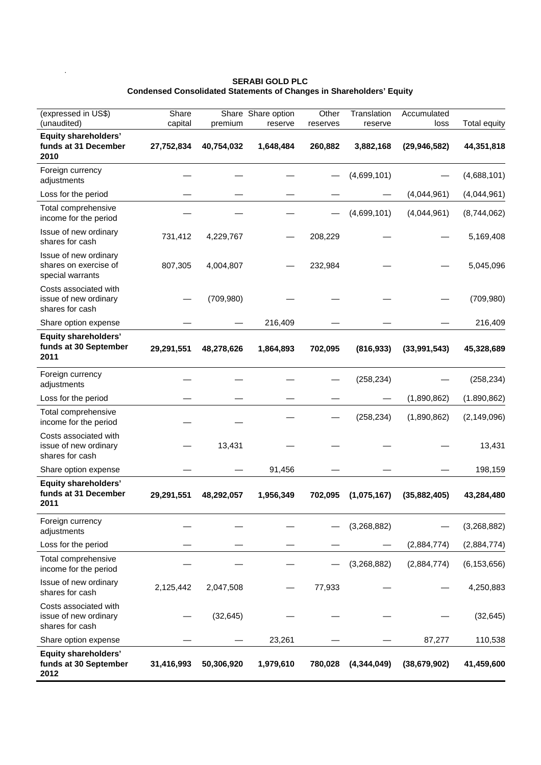#### **SERABI GOLD PLC Condensed Consolidated Statements of Changes in Shareholders' Equity**

.

| (expressed in US\$)<br>(unaudited)                                 | Share<br>capital | premium    | Share Share option<br>reserve | Other<br>reserves | Translation<br>reserve | Accumulated<br>loss | <b>Total equity</b> |
|--------------------------------------------------------------------|------------------|------------|-------------------------------|-------------------|------------------------|---------------------|---------------------|
| <b>Equity shareholders'</b><br>funds at 31 December<br>2010        | 27,752,834       | 40,754,032 | 1,648,484                     | 260,882           | 3,882,168              | (29, 946, 582)      | 44,351,818          |
| Foreign currency<br>adjustments                                    |                  |            |                               |                   | (4,699,101)            |                     | (4,688,101)         |
| Loss for the period                                                |                  |            |                               |                   |                        | (4,044,961)         | (4,044,961)         |
| Total comprehensive<br>income for the period                       |                  |            |                               |                   | (4,699,101)            | (4,044,961)         | (8,744,062)         |
| Issue of new ordinary<br>shares for cash                           | 731,412          | 4,229,767  |                               | 208,229           |                        |                     | 5,169,408           |
| Issue of new ordinary<br>shares on exercise of<br>special warrants | 807,305          | 4,004,807  |                               | 232,984           |                        |                     | 5,045,096           |
| Costs associated with<br>issue of new ordinary<br>shares for cash  |                  | (709, 980) |                               |                   |                        |                     | (709, 980)          |
| Share option expense                                               |                  |            | 216,409                       |                   |                        |                     | 216,409             |
| <b>Equity shareholders'</b><br>funds at 30 September<br>2011       | 29,291,551       | 48,278,626 | 1,864,893                     | 702,095           | (816, 933)             | (33,991,543)        | 45,328,689          |
| Foreign currency<br>adjustments                                    |                  |            |                               |                   | (258, 234)             |                     | (258, 234)          |
| Loss for the period                                                |                  |            |                               |                   |                        | (1,890,862)         | (1.890, 862)        |
| Total comprehensive<br>income for the period                       |                  |            |                               |                   | (258, 234)             | (1,890,862)         | (2, 149, 096)       |
| Costs associated with<br>issue of new ordinary<br>shares for cash  |                  | 13,431     |                               |                   |                        |                     | 13,431              |
| Share option expense                                               |                  |            | 91,456                        |                   |                        |                     | 198,159             |
| <b>Equity shareholders'</b><br>funds at 31 December<br>2011        | 29,291,551       | 48,292,057 | 1,956,349                     | 702,095           | (1,075,167)            | (35,882,405)        | 43,284,480          |
| Foreign currency<br>adjustments                                    |                  |            |                               |                   | (3,268,882)            |                     | (3,268,882)         |
| Loss for the period                                                |                  |            |                               |                   |                        | (2,884,774)         | (2,884,774)         |
| Total comprehensive<br>income for the period                       |                  |            |                               |                   | (3,268,882)            | (2,884,774)         | (6, 153, 656)       |
| Issue of new ordinary<br>shares for cash                           | 2,125,442        | 2,047,508  |                               | 77,933            |                        |                     | 4,250,883           |
| Costs associated with<br>issue of new ordinary<br>shares for cash  |                  | (32, 645)  |                               |                   |                        |                     | (32, 645)           |
| Share option expense                                               |                  |            | 23,261                        |                   |                        | 87,277              | 110,538             |
| <b>Equity shareholders'</b><br>funds at 30 September<br>2012       | 31,416,993       | 50,306,920 | 1,979,610                     | 780,028           | (4,344,049)            | (38, 679, 902)      | 41,459,600          |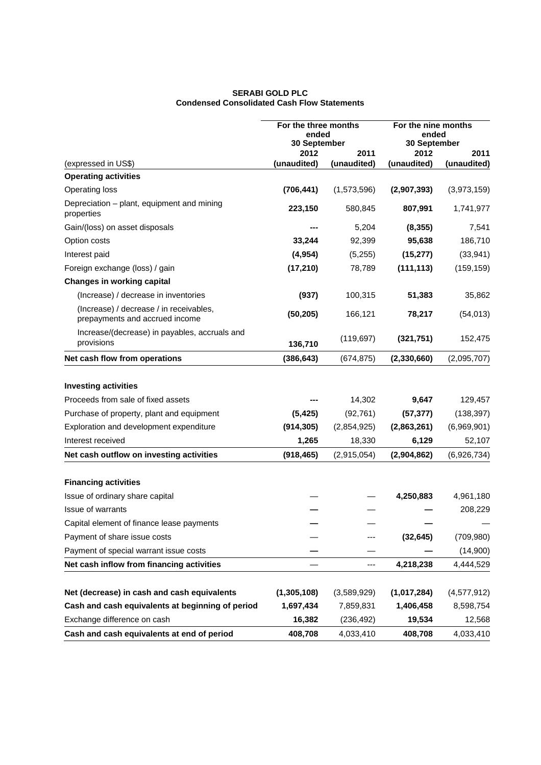## **SERABI GOLD PLC Condensed Consolidated Cash Flow Statements**

|                                                                           | For the three months<br>ended<br>30 September |             | For the nine months<br>ended<br>30 September |               |
|---------------------------------------------------------------------------|-----------------------------------------------|-------------|----------------------------------------------|---------------|
|                                                                           | 2012                                          | 2011        | 2012                                         | 2011          |
| (expressed in US\$)                                                       | (unaudited)                                   | (unaudited) | (unaudited)                                  | (unaudited)   |
| <b>Operating activities</b>                                               |                                               |             |                                              |               |
| <b>Operating loss</b>                                                     | (706, 441)                                    | (1,573,596) | (2,907,393)                                  | (3,973,159)   |
| Depreciation – plant, equipment and mining<br>properties                  | 223,150                                       | 580,845     | 807,991                                      | 1,741,977     |
| Gain/(loss) on asset disposals                                            |                                               | 5,204       | (8, 355)                                     | 7,541         |
| Option costs                                                              | 33,244                                        | 92,399      | 95,638                                       | 186,710       |
| Interest paid                                                             | (4, 954)                                      | (5,255)     | (15, 277)                                    | (33, 941)     |
| Foreign exchange (loss) / gain                                            | (17, 210)                                     | 78,789      | (111, 113)                                   | (159, 159)    |
| <b>Changes in working capital</b>                                         |                                               |             |                                              |               |
| (Increase) / decrease in inventories                                      | (937)                                         | 100,315     | 51,383                                       | 35,862        |
| (Increase) / decrease / in receivables,<br>prepayments and accrued income | (50, 205)                                     | 166,121     | 78,217                                       | (54, 013)     |
| Increase/(decrease) in payables, accruals and<br>provisions               | 136,710                                       | (119, 697)  | (321, 751)                                   | 152,475       |
| Net cash flow from operations                                             | (386, 643)                                    | (674, 875)  | (2,330,660)                                  | (2,095,707)   |
| <b>Investing activities</b>                                               |                                               |             |                                              |               |
| Proceeds from sale of fixed assets                                        |                                               | 14,302      | 9,647                                        | 129,457       |
| Purchase of property, plant and equipment                                 | (5, 425)                                      | (92, 761)   | (57, 377)                                    | (138, 397)    |
| Exploration and development expenditure                                   | (914, 305)                                    | (2,854,925) | (2,863,261)                                  | (6,969,901)   |
| Interest received                                                         | 1,265                                         | 18,330      | 6,129                                        | 52,107        |
| Net cash outflow on investing activities                                  | (918, 465)                                    | (2,915,054) | (2,904,862)                                  | (6,926,734)   |
| <b>Financing activities</b>                                               |                                               |             |                                              |               |
| Issue of ordinary share capital                                           |                                               |             | 4,250,883                                    | 4,961,180     |
| <b>Issue of warrants</b>                                                  |                                               |             |                                              | 208,229       |
| Capital element of finance lease payments                                 |                                               |             |                                              |               |
| Payment of share issue costs                                              |                                               |             | (32, 645)                                    | (709, 980)    |
| Payment of special warrant issue costs                                    |                                               |             |                                              | (14,900)      |
| Net cash inflow from financing activities                                 |                                               | ---         | 4,218,238                                    | 4,444,529     |
| Net (decrease) in cash and cash equivalents                               | (1,305,108)                                   | (3,589,929) | (1,017,284)                                  | (4, 577, 912) |
| Cash and cash equivalents at beginning of period                          | 1,697,434                                     | 7,859,831   | 1,406,458                                    | 8,598,754     |
| Exchange difference on cash                                               | 16,382                                        | (236, 492)  | 19,534                                       | 12,568        |
| Cash and cash equivalents at end of period                                | 408,708                                       | 4,033,410   | 408,708                                      | 4,033,410     |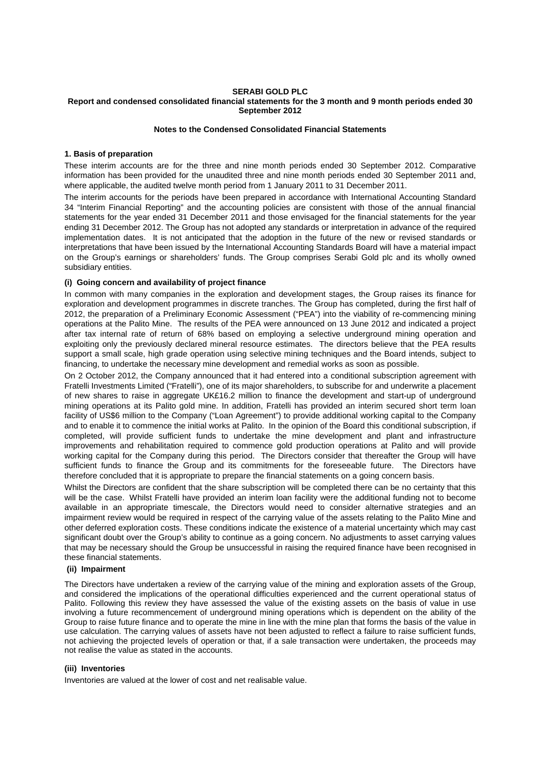#### **SERABI GOLD PLC Report and condensed consolidated financial statements for the 3 month and 9 month periods ended 30 September 2012**

### **Notes to the Condensed Consolidated Financial Statements**

## **1. Basis of preparation**

These interim accounts are for the three and nine month periods ended 30 September 2012. Comparative information has been provided for the unaudited three and nine month periods ended 30 September 2011 and, where applicable, the audited twelve month period from 1 January 2011 to 31 December 2011.

The interim accounts for the periods have been prepared in accordance with International Accounting Standard 34 "Interim Financial Reporting" and the accounting policies are consistent with those of the annual financial statements for the year ended 31 December 2011 and those envisaged for the financial statements for the year ending 31 December 2012. The Group has not adopted any standards or interpretation in advance of the required implementation dates. It is not anticipated that the adoption in the future of the new or revised standards or interpretations that have been issued by the International Accounting Standards Board will have a material impact on the Group's earnings or shareholders' funds. The Group comprises Serabi Gold plc and its wholly owned subsidiary entities.

## **(i) Going concern and availability of project finance**

In common with many companies in the exploration and development stages, the Group raises its finance for exploration and development programmes in discrete tranches. The Group has completed, during the first half of 2012, the preparation of a Preliminary Economic Assessment ("PEA") into the viability of re-commencing mining operations at the Palito Mine. The results of the PEA were announced on 13 June 2012 and indicated a project after tax internal rate of return of 68% based on employing a selective underground mining operation and exploiting only the previously declared mineral resource estimates. The directors believe that the PEA results support a small scale, high grade operation using selective mining techniques and the Board intends, subject to financing, to undertake the necessary mine development and remedial works as soon as possible.

On 2 October 2012, the Company announced that it had entered into a conditional subscription agreement with Fratelli Investments Limited ("Fratelli"), one of its major shareholders, to subscribe for and underwrite a placement of new shares to raise in aggregate UK£16.2 million to finance the development and start-up of underground mining operations at its Palito gold mine. In addition, Fratelli has provided an interim secured short term loan facility of US\$6 million to the Company ("Loan Agreement") to provide additional working capital to the Company and to enable it to commence the initial works at Palito. In the opinion of the Board this conditional subscription, if completed, will provide sufficient funds to undertake the mine development and plant and infrastructure improvements and rehabilitation required to commence gold production operations at Palito and will provide working capital for the Company during this period. The Directors consider that thereafter the Group will have sufficient funds to finance the Group and its commitments for the foreseeable future. The Directors have therefore concluded that it is appropriate to prepare the financial statements on a going concern basis.

Whilst the Directors are confident that the share subscription will be completed there can be no certainty that this will be the case. Whilst Fratelli have provided an interim loan facility were the additional funding not to become available in an appropriate timescale, the Directors would need to consider alternative strategies and an impairment review would be required in respect of the carrying value of the assets relating to the Palito Mine and other deferred exploration costs. These conditions indicate the existence of a material uncertainty which may cast significant doubt over the Group's ability to continue as a going concern. No adjustments to asset carrying values that may be necessary should the Group be unsuccessful in raising the required finance have been recognised in these financial statements.

### **(ii) Impairment**

The Directors have undertaken a review of the carrying value of the mining and exploration assets of the Group, and considered the implications of the operational difficulties experienced and the current operational status of Palito. Following this review they have assessed the value of the existing assets on the basis of value in use involving a future recommencement of underground mining operations which is dependent on the ability of the Group to raise future finance and to operate the mine in line with the mine plan that forms the basis of the value in use calculation. The carrying values of assets have not been adjusted to reflect a failure to raise sufficient funds, not achieving the projected levels of operation or that, if a sale transaction were undertaken, the proceeds may not realise the value as stated in the accounts.

### **(iii) Inventories**

Inventories are valued at the lower of cost and net realisable value.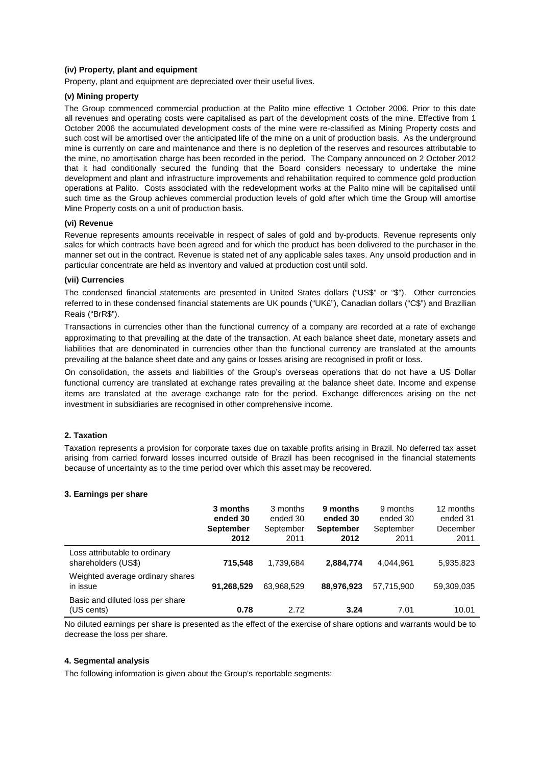## **(iv) Property, plant and equipment**

Property, plant and equipment are depreciated over their useful lives.

## **(v) Mining property**

The Group commenced commercial production at the Palito mine effective 1 October 2006. Prior to this date all revenues and operating costs were capitalised as part of the development costs of the mine. Effective from 1 October 2006 the accumulated development costs of the mine were re-classified as Mining Property costs and such cost will be amortised over the anticipated life of the mine on a unit of production basis. As the underground mine is currently on care and maintenance and there is no depletion of the reserves and resources attributable to the mine, no amortisation charge has been recorded in the period. The Company announced on 2 October 2012 that it had conditionally secured the funding that the Board considers necessary to undertake the mine development and plant and infrastructure improvements and rehabilitation required to commence gold production operations at Palito. Costs associated with the redevelopment works at the Palito mine will be capitalised until such time as the Group achieves commercial production levels of gold after which time the Group will amortise Mine Property costs on a unit of production basis.

### **(vi) Revenue**

Revenue represents amounts receivable in respect of sales of gold and by-products. Revenue represents only sales for which contracts have been agreed and for which the product has been delivered to the purchaser in the manner set out in the contract. Revenue is stated net of any applicable sales taxes. Any unsold production and in particular concentrate are held as inventory and valued at production cost until sold.

### **(vii) Currencies**

The condensed financial statements are presented in United States dollars ("US\$" or "\$"). Other currencies referred to in these condensed financial statements are UK pounds ("UK£"), Canadian dollars ("C\$") and Brazilian Reais ("BrR\$").

Transactions in currencies other than the functional currency of a company are recorded at a rate of exchange approximating to that prevailing at the date of the transaction. At each balance sheet date, monetary assets and liabilities that are denominated in currencies other than the functional currency are translated at the amounts prevailing at the balance sheet date and any gains or losses arising are recognised in profit or loss.

On consolidation, the assets and liabilities of the Group's overseas operations that do not have a US Dollar functional currency are translated at exchange rates prevailing at the balance sheet date. Income and expense items are translated at the average exchange rate for the period. Exchange differences arising on the net investment in subsidiaries are recognised in other comprehensive income.

## **2. Taxation**

Taxation represents a provision for corporate taxes due on taxable profits arising in Brazil. No deferred tax asset arising from carried forward losses incurred outside of Brazil has been recognised in the financial statements because of uncertainty as to the time period over which this asset may be recovered.

### **3. Earnings per share**

|                                                      | 3 months<br>ended 30<br><b>September</b><br>2012 | 3 months<br>ended 30<br>September<br>2011 | 9 months<br>ended 30<br><b>September</b><br>2012 | 9 months<br>ended 30<br>September<br>2011 | 12 months<br>ended 31<br>December<br>2011 |
|------------------------------------------------------|--------------------------------------------------|-------------------------------------------|--------------------------------------------------|-------------------------------------------|-------------------------------------------|
| Loss attributable to ordinary<br>shareholders (US\$) | 715.548                                          | 1.739.684                                 | 2,884,774                                        | 4.044.961                                 | 5,935,823                                 |
| Weighted average ordinary shares<br>in issue         | 91,268,529                                       | 63.968.529                                | 88,976,923                                       | 57.715.900                                | 59,309,035                                |
| Basic and diluted loss per share<br>(US cents)       | 0.78                                             | 2.72                                      | 3.24                                             | 7.01                                      | 10.01                                     |

No diluted earnings per share is presented as the effect of the exercise of share options and warrants would be to decrease the loss per share.

## **4. Segmental analysis**

The following information is given about the Group's reportable segments: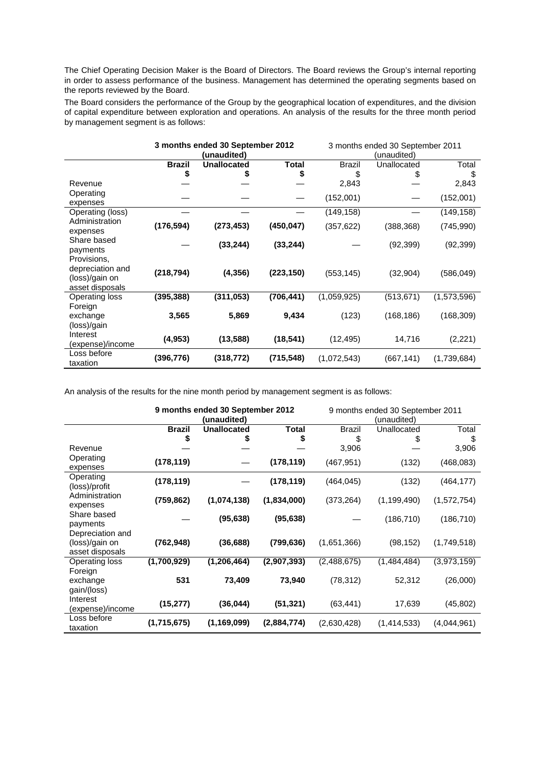The Chief Operating Decision Maker is the Board of Directors. The Board reviews the Group's internal reporting in order to assess performance of the business. Management has determined the operating segments based on the reports reviewed by the Board.

The Board considers the performance of the Group by the geographical location of expenditures, and the division of capital expenditure between exploration and operations. An analysis of the results for the three month period by management segment is as follows:

|                  | 3 months ended 30 September 2012 |                    | 3 months ended 30 September 2011 |               |             |             |  |
|------------------|----------------------------------|--------------------|----------------------------------|---------------|-------------|-------------|--|
|                  |                                  | (unaudited)        |                                  |               | (unaudited) |             |  |
|                  | <b>Brazil</b>                    | <b>Unallocated</b> | Total                            | <b>Brazil</b> | Unallocated | Total       |  |
|                  | \$                               |                    | \$                               | \$            |             | S           |  |
| Revenue          |                                  |                    |                                  | 2,843         |             | 2,843       |  |
| Operating        |                                  |                    |                                  | (152,001)     |             | (152,001)   |  |
| expenses         |                                  |                    |                                  |               |             |             |  |
| Operating (loss) |                                  |                    |                                  | (149, 158)    |             | (149, 158)  |  |
| Administration   | (176, 594)                       | (273, 453)         | (450, 047)                       | (357, 622)    | (388, 368)  | (745, 990)  |  |
| expenses         |                                  |                    |                                  |               |             |             |  |
| Share based      |                                  | (33, 244)          | (33, 244)                        |               | (92, 399)   | (92, 399)   |  |
| payments         |                                  |                    |                                  |               |             |             |  |
| Provisions,      |                                  |                    |                                  |               |             |             |  |
| depreciation and | (218, 794)                       | (4, 356)           | (223, 150)                       | (553, 145)    | (32, 904)   | (586, 049)  |  |
| (loss)/gain on   |                                  |                    |                                  |               |             |             |  |
| asset disposals  |                                  |                    |                                  |               |             |             |  |
| Operating loss   | (395, 388)                       | (311, 053)         | (706, 441)                       | (1,059,925)   | (513, 671)  | (1,573,596) |  |
| Foreign          |                                  |                    |                                  |               |             |             |  |
| exchange         | 3,565                            | 5,869              | 9,434                            | (123)         | (168, 186)  | (168, 309)  |  |
| (loss)/gain      |                                  |                    |                                  |               |             |             |  |
| Interest         | (4, 953)                         | (13, 588)          | (18, 541)                        | (12, 495)     | 14,716      | (2, 221)    |  |
| (expense)/income |                                  |                    |                                  |               |             |             |  |
| Loss before      | (396, 776)                       | (318, 772)         | (715, 548)                       | (1,072,543)   | (667, 141)  | (1,739,684) |  |
| taxation         |                                  |                    |                                  |               |             |             |  |

An analysis of the results for the nine month period by management segment is as follows:

|                              | 9 months ended 30 September 2012<br>(unaudited) |                    | 9 months ended 30 September 2011<br>(unaudited) |               |               |             |
|------------------------------|-------------------------------------------------|--------------------|-------------------------------------------------|---------------|---------------|-------------|
|                              | <b>Brazil</b>                                   | <b>Unallocated</b> | <b>Total</b>                                    | <b>Brazil</b> | Unallocated   | Total       |
|                              | S                                               |                    | \$                                              | \$            |               | \$          |
| Revenue                      |                                                 |                    |                                                 | 3,906         |               | 3,906       |
| Operating                    | (178, 119)                                      |                    | (178, 119)                                      | (467, 951)    | (132)         | (468, 083)  |
| expenses                     |                                                 |                    |                                                 |               |               |             |
| Operating                    | (178, 119)                                      |                    | (178, 119)                                      | (464, 045)    | (132)         | (464, 177)  |
| (loss)/profit                |                                                 |                    |                                                 |               |               |             |
| Administration               | (759, 862)                                      | (1,074,138)        | (1,834,000)                                     | (373, 264)    | (1, 199, 490) | (1,572,754) |
| expenses                     |                                                 |                    |                                                 |               |               |             |
| Share based                  |                                                 | (95, 638)          | (95, 638)                                       |               | (186, 710)    | (186, 710)  |
| payments<br>Depreciation and |                                                 |                    |                                                 |               |               |             |
| (loss)/gain on               | (762, 948)                                      | (36, 688)          | (799, 636)                                      | (1,651,366)   | (98, 152)     | (1,749,518) |
| asset disposals              |                                                 |                    |                                                 |               |               |             |
| Operating loss               | (1,700,929)                                     | (1,206,464)        | (2,907,393)                                     | (2,488,675)   | (1,484,484)   | (3,973,159) |
| Foreign                      |                                                 |                    |                                                 |               |               |             |
| exchange                     | 531                                             | 73,409             | 73,940                                          | (78, 312)     | 52,312        | (26,000)    |
| gain/(loss)                  |                                                 |                    |                                                 |               |               |             |
| Interest                     | (15, 277)                                       | (36,044)           | (51, 321)                                       |               |               |             |
| (expense)/income             |                                                 |                    |                                                 | (63, 441)     | 17,639        | (45, 802)   |
| Loss before                  | (1,715,675)                                     | (1, 169, 099)      | (2,884,774)                                     | (2,630,428)   | (1,414,533)   | (4,044,961) |
| taxation                     |                                                 |                    |                                                 |               |               |             |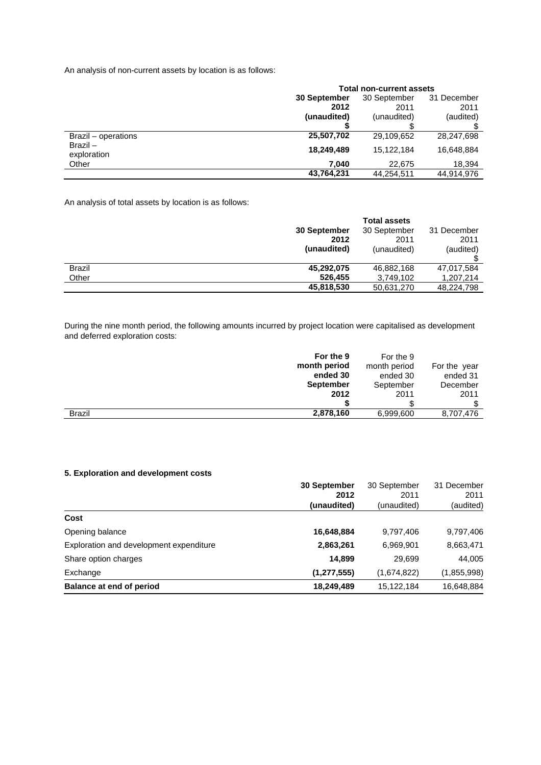An analysis of non-current assets by location is as follows:

|                           | <b>Total non-current assets</b> |              |             |  |
|---------------------------|---------------------------------|--------------|-------------|--|
|                           | 30 September                    | 30 September | 31 December |  |
|                           | 2012                            | 2011         | 2011        |  |
|                           | (unaudited)                     | (unaudited)  | (audited)   |  |
|                           |                                 |              |             |  |
| Brazil – operations       | 25,507,702                      | 29,109,652   | 28,247,698  |  |
| $Brazil -$<br>exploration | 18,249,489                      | 15,122,184   | 16,648,884  |  |
| Other                     | 7.040                           | 22.675       | 18.394      |  |
|                           | 43,764,231                      | 44,254,511   | 44.914.976  |  |

An analysis of total assets by location is as follows:

|               |              | <b>Total assets</b> |             |
|---------------|--------------|---------------------|-------------|
|               | 30 September | 30 September        | 31 December |
|               | 2012         | 2011                | 2011        |
|               | (unaudited)  | (unaudited)         | (audited)   |
|               |              |                     |             |
| <b>Brazil</b> | 45,292,075   | 46,882,168          | 47,017,584  |
| Other         | 526,455      | 3,749,102           | 1,207,214   |
|               | 45,818,530   | 50,631,270          | 48,224,798  |

During the nine month period, the following amounts incurred by project location were capitalised as development and deferred exploration costs:

|               | For the 9        | For the 9    |              |
|---------------|------------------|--------------|--------------|
|               | month period     | month period | For the year |
|               | ended 30         | ended 30     | ended 31     |
|               | <b>September</b> | September    | December     |
|               | 2012             | 2011         | 2011         |
|               |                  |              |              |
| <b>Brazil</b> | 2,878,160        | 6,999,600    | 8,707,476    |

## **5. Exploration and development costs**

|                                         | <b>30 September</b> | 30 September | 31 December |
|-----------------------------------------|---------------------|--------------|-------------|
|                                         | 2012                | 2011         | 2011        |
|                                         | (unaudited)         | (unaudited)  | (audited)   |
| Cost                                    |                     |              |             |
| Opening balance                         | 16,648,884          | 9,797,406    | 9,797,406   |
| Exploration and development expenditure | 2,863,261           | 6,969,901    | 8,663,471   |
| Share option charges                    | 14.899              | 29,699       | 44,005      |
| Exchange                                | (1, 277, 555)       | (1,674,822)  | (1,855,998) |
| <b>Balance at end of period</b>         | 18,249,489          | 15,122,184   | 16,648,884  |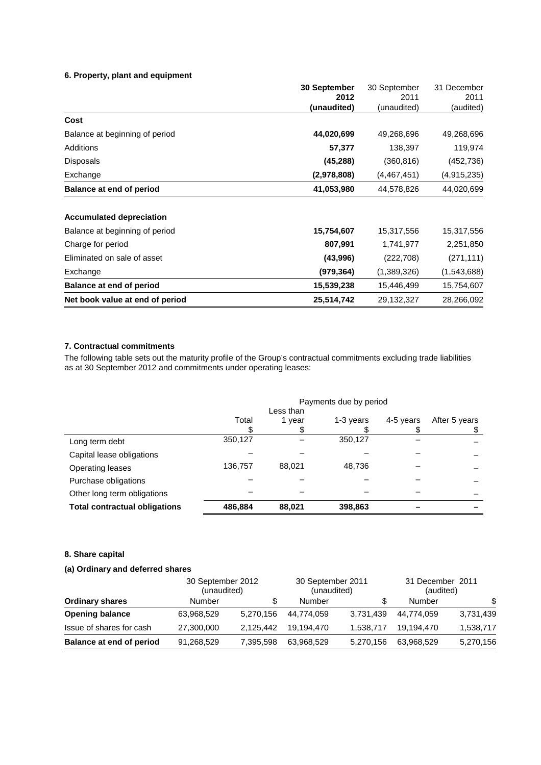## **6. Property, plant and equipment**

|                                 | 30 September | 30 September  | 31 December |
|---------------------------------|--------------|---------------|-------------|
|                                 | 2012         | 2011          | 2011        |
|                                 | (unaudited)  | (unaudited)   | (audited)   |
| Cost                            |              |               |             |
| Balance at beginning of period  | 44,020,699   | 49,268,696    | 49,268,696  |
| <b>Additions</b>                | 57,377       | 138,397       | 119,974     |
| <b>Disposals</b>                | (45, 288)    | (360, 816)    | (452,736)   |
| Exchange                        | (2,978,808)  | (4, 467, 451) | (4,915,235) |
| <b>Balance at end of period</b> | 41.053.980   | 44,578,826    | 44,020,699  |
| <b>Accumulated depreciation</b> |              |               |             |
| Balance at beginning of period  | 15,754,607   | 15,317,556    | 15,317,556  |
| Charge for period               | 807,991      | 1,741,977     | 2,251,850   |
| Eliminated on sale of asset     | (43,996)     | (222, 708)    | (271, 111)  |
| Exchange                        | (979,364)    | (1,389,326)   | (1,543,688) |
| <b>Balance at end of period</b> | 15,539,238   | 15,446,499    | 15,754,607  |
| Net book value at end of period | 25,514,742   | 29,132,327    | 28,266,092  |

## **7. Contractual commitments**

The following table sets out the maturity profile of the Group's contractual commitments excluding trade liabilities as at 30 September 2012 and commitments under operating leases:

|                                      | Payments due by period |        |           |           |               |
|--------------------------------------|------------------------|--------|-----------|-----------|---------------|
|                                      | Less than              |        |           |           |               |
|                                      | Total                  | 1 year | 1-3 years | 4-5 years | After 5 years |
|                                      |                        |        |           |           |               |
| Long term debt                       | 350,127                |        | 350,127   |           |               |
| Capital lease obligations            |                        |        |           |           |               |
| <b>Operating leases</b>              | 136,757                | 88.021 | 48.736    |           |               |
| Purchase obligations                 |                        |        |           |           |               |
| Other long term obligations          |                        |        |           |           |               |
| <b>Total contractual obligations</b> | 486,884                | 88,021 | 398,863   |           |               |

## **8. Share capital**

## **(a) Ordinary and deferred shares**

|                                 | 30 September 2012<br>(unaudited) |           | 30 September 2011<br>(unaudited) |           | 31 December 2011<br>(audited) |           |
|---------------------------------|----------------------------------|-----------|----------------------------------|-----------|-------------------------------|-----------|
| <b>Ordinary shares</b>          | Number                           | S         | Number                           | S         | Number                        | \$        |
| <b>Opening balance</b>          | 63,968,529                       | 5,270,156 | 44,774,059                       | 3,731,439 | 44.774.059                    | 3,731,439 |
| Issue of shares for cash        | 27,300,000                       | 2.125.442 | 19.194.470                       | 1.538.717 | 19.194.470                    | 1,538,717 |
| <b>Balance at end of period</b> | 91,268,529                       | 7,395,598 | 63,968,529                       | 5,270,156 | 63,968,529                    | 5,270,156 |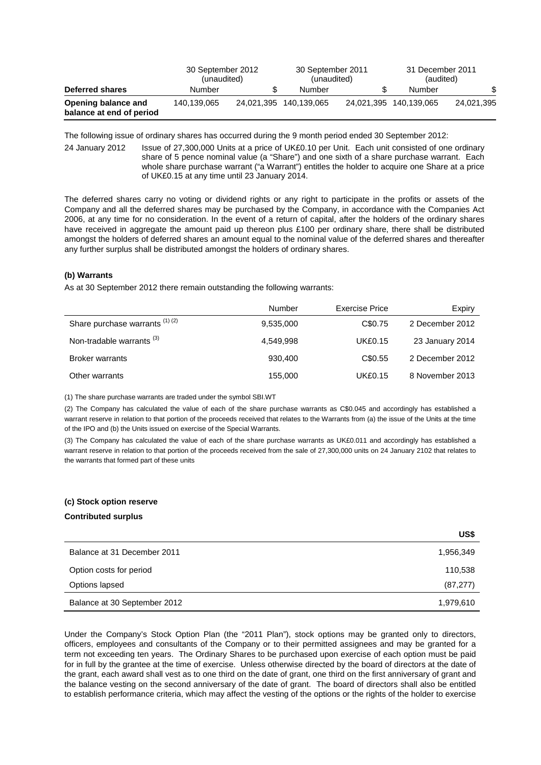|                                                 | 30 September 2012<br>(unaudited) |   | 30 September 2011<br>(unaudited) |  | 31 December 2011<br>(audited) |            |
|-------------------------------------------------|----------------------------------|---|----------------------------------|--|-------------------------------|------------|
| Deferred shares                                 | Number                           | S | Number                           |  | Number                        | \$         |
| Opening balance and<br>balance at end of period | 140.139.065                      |   | 24,021,395 140,139,065           |  | 24.021.395 140.139.065        | 24,021,395 |

The following issue of ordinary shares has occurred during the 9 month period ended 30 September 2012:

24 January 2012 Issue of 27,300,000 Units at a price of UK£0.10 per Unit. Each unit consisted of one ordinary share of 5 pence nominal value (a "Share") and one sixth of a share purchase warrant. Each whole share purchase warrant ("a Warrant") entitles the holder to acquire one Share at a price of UK£0.15 at any time until 23 January 2014.

The deferred shares carry no voting or dividend rights or any right to participate in the profits or assets of the Company and all the deferred shares may be purchased by the Company, in accordance with the Companies Act 2006, at any time for no consideration. In the event of a return of capital, after the holders of the ordinary shares have received in aggregate the amount paid up thereon plus £100 per ordinary share, there shall be distributed amongst the holders of deferred shares an amount equal to the nominal value of the deferred shares and thereafter any further surplus shall be distributed amongst the holders of ordinary shares.

#### **(b) Warrants**

As at 30 September 2012 there remain outstanding the following warrants:

|                                      | Number    | Exercise Price | Expiry          |
|--------------------------------------|-----------|----------------|-----------------|
| Share purchase warrants $(1)(2)$     | 9,535,000 | C\$0.75        | 2 December 2012 |
| Non-tradable warrants <sup>(3)</sup> | 4,549,998 | <b>UK£0.15</b> | 23 January 2014 |
| <b>Broker warrants</b>               | 930,400   | C\$0.55        | 2 December 2012 |
| Other warrants                       | 155.000   | <b>UK£0.15</b> | 8 November 2013 |

(1) The share purchase warrants are traded under the symbol SBI.WT

(2) The Company has calculated the value of each of the share purchase warrants as C\$0.045 and accordingly has established a warrant reserve in relation to that portion of the proceeds received that relates to the Warrants from (a) the issue of the Units at the time of the IPO and (b) the Units issued on exercise of the Special Warrants.

(3) The Company has calculated the value of each of the share purchase warrants as UK£0.011 and accordingly has established a warrant reserve in relation to that portion of the proceeds received from the sale of 27,300,000 units on 24 January 2102 that relates to the warrants that formed part of these units

# **(c) Stock option reserve**

## **Contributed surplus**

|                              | US\$      |
|------------------------------|-----------|
| Balance at 31 December 2011  | 1,956,349 |
| Option costs for period      | 110,538   |
| Options lapsed               | (87, 277) |
| Balance at 30 September 2012 | 1,979,610 |

Under the Company's Stock Option Plan (the "2011 Plan"), stock options may be granted only to directors, officers, employees and consultants of the Company or to their permitted assignees and may be granted for a term not exceeding ten years. The Ordinary Shares to be purchased upon exercise of each option must be paid for in full by the grantee at the time of exercise. Unless otherwise directed by the board of directors at the date of the grant, each award shall vest as to one third on the date of grant, one third on the first anniversary of grant and the balance vesting on the second anniversary of the date of grant. The board of directors shall also be entitled to establish performance criteria, which may affect the vesting of the options or the rights of the holder to exercise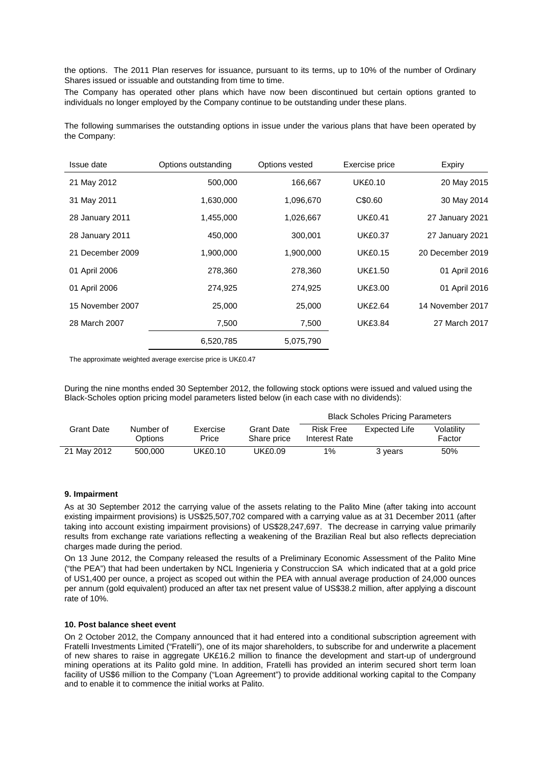the options. The 2011 Plan reserves for issuance, pursuant to its terms, up to 10% of the number of Ordinary Shares issued or issuable and outstanding from time to time.

The Company has operated other plans which have now been discontinued but certain options granted to individuals no longer employed by the Company continue to be outstanding under these plans.

The following summarises the outstanding options in issue under the various plans that have been operated by the Company:

| Issue date       | Options outstanding | Options vested | Exercise price | Expiry           |
|------------------|---------------------|----------------|----------------|------------------|
| 21 May 2012      | 500,000             | 166,667        | <b>UK£0.10</b> | 20 May 2015      |
| 31 May 2011      | 1,630,000           | 1,096,670      | C\$0.60        | 30 May 2014      |
| 28 January 2011  | 1,455,000           | 1,026,667      | <b>UK£0.41</b> | 27 January 2021  |
| 28 January 2011  | 450,000             | 300,001        | <b>UK£0.37</b> | 27 January 2021  |
| 21 December 2009 | 1,900,000           | 1,900,000      | <b>UK£0.15</b> | 20 December 2019 |
| 01 April 2006    | 278,360             | 278,360        | <b>UK£1.50</b> | 01 April 2016    |
| 01 April 2006    | 274,925             | 274,925        | <b>UK£3.00</b> | 01 April 2016    |
| 15 November 2007 | 25,000              | 25,000         | <b>UK£2.64</b> | 14 November 2017 |
| 28 March 2007    | 7,500               | 7,500          | <b>UK£3.84</b> | 27 March 2017    |
|                  | 6,520,785           | 5,075,790      |                |                  |

The approximate weighted average exercise price is UK£0.47

During the nine months ended 30 September 2012, the following stock options were issued and valued using the Black-Scholes option pricing model parameters listed below (in each case with no dividends):

|             |                      |                   |                                  | <b>Black Scholes Pricing Parameters</b> |               |                      |
|-------------|----------------------|-------------------|----------------------------------|-----------------------------------------|---------------|----------------------|
| Grant Date  | Number of<br>Options | Exercise<br>Price | <b>Grant Date</b><br>Share price | <b>Risk Free</b><br>Interest Rate       | Expected Life | Volatility<br>Factor |
| 21 May 2012 | 500,000              | UK£0.10           | UK£0.09                          | $1\%$                                   | 3 years       | 50%                  |

## **9. Impairment**

As at 30 September 2012 the carrying value of the assets relating to the Palito Mine (after taking into account existing impairment provisions) is US\$25,507,702 compared with a carrying value as at 31 December 2011 (after taking into account existing impairment provisions) of US\$28,247,697. The decrease in carrying value primarily results from exchange rate variations reflecting a weakening of the Brazilian Real but also reflects depreciation charges made during the period.

On 13 June 2012, the Company released the results of a Preliminary Economic Assessment of the Palito Mine ("the PEA") that had been undertaken by NCL Ingenieria y Construccion SA which indicated that at a gold price of US1,400 per ounce, a project as scoped out within the PEA with annual average production of 24,000 ounces per annum (gold equivalent) produced an after tax net present value of US\$38.2 million, after applying a discount rate of 10%.

### **10. Post balance sheet event**

On 2 October 2012, the Company announced that it had entered into a conditional subscription agreement with Fratelli Investments Limited ("Fratelli"), one of its major shareholders, to subscribe for and underwrite a placement of new shares to raise in aggregate UK£16.2 million to finance the development and start-up of underground mining operations at its Palito gold mine. In addition, Fratelli has provided an interim secured short term loan facility of US\$6 million to the Company ("Loan Agreement") to provide additional working capital to the Company and to enable it to commence the initial works at Palito.